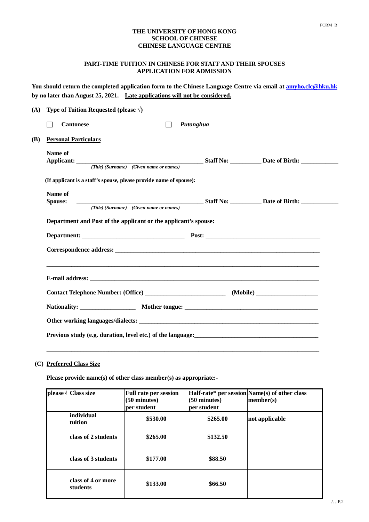### **THE UNIVERSITY OF HONG KONG SCHOOL OF CHINESE CHINESE LANGUAGE CENTRE**

# **PART-TIME TUITION IN CHINESE FOR STAFF AND THEIR SPOUSES APPLICATION FOR ADMISSION**

**You should return the completed application form to the Chinese Language Centre via email at amyho.clc@hku.hk by no later than August 25, 2021. Late applications will not be considered.**

|                                                                    |                                         | Putonghua |  |
|--------------------------------------------------------------------|-----------------------------------------|-----------|--|
| <b>Personal Particulars</b>                                        |                                         |           |  |
| Name of                                                            |                                         |           |  |
|                                                                    | (Title) (Surname) (Given name or names) |           |  |
| (If applicant is a staff's spouse, please provide name of spouse): |                                         |           |  |
| Name of                                                            |                                         |           |  |
| <b>Spouse:</b>                                                     |                                         |           |  |
|                                                                    |                                         |           |  |
|                                                                    |                                         |           |  |
|                                                                    |                                         |           |  |
|                                                                    |                                         |           |  |
|                                                                    |                                         |           |  |
|                                                                    |                                         |           |  |

# **(C) Preferred Class Size**

**Please provide name(s) of other class member(s) as appropriate:-**

| $\ $ please $\sqrt{\}$ Class size | <b>Full rate per session</b><br>$(50 \text{ minutes})$<br>per student | $(50 \text{ minutes})$<br>per student | Half-rate* per session Name(s) of other class<br>member(s) |
|-----------------------------------|-----------------------------------------------------------------------|---------------------------------------|------------------------------------------------------------|
| individual<br>tuition             | \$530.00                                                              | \$265.00                              | not applicable                                             |
| class of 2 students               | \$265.00                                                              | \$132.50                              |                                                            |
| class of 3 students               | \$177.00                                                              | \$88.50                               |                                                            |
| class of 4 or more<br>students    | \$133.00                                                              | \$66.50                               |                                                            |